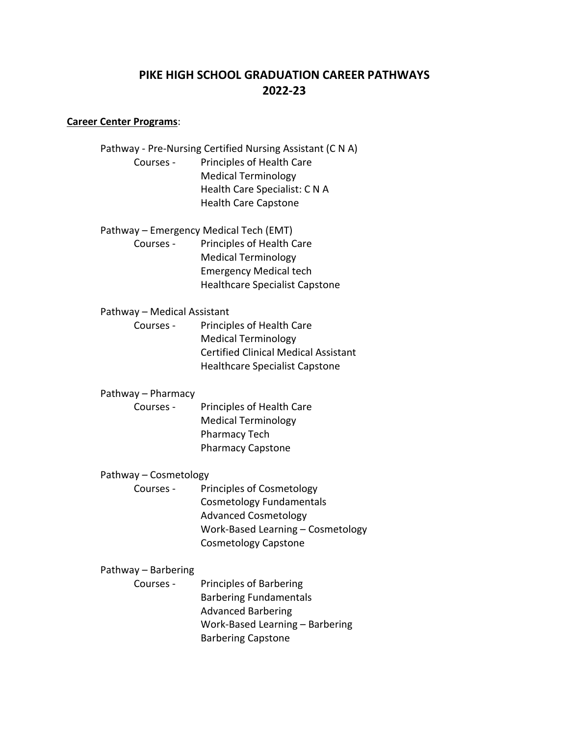# **PIKE HIGH SCHOOL GRADUATION CAREER PATHWAYS 2022-23**

## **Career Center Programs**:

|                                        | Pathway - Pre-Nursing Certified Nursing Assistant (C N A) |
|----------------------------------------|-----------------------------------------------------------|
| Courses -                              | Principles of Health Care                                 |
|                                        | <b>Medical Terminology</b>                                |
|                                        | Health Care Specialist: CNA                               |
|                                        | <b>Health Care Capstone</b>                               |
| Pathway – Emergency Medical Tech (EMT) |                                                           |
| Courses -                              | Principles of Health Care                                 |
|                                        | <b>Medical Terminology</b>                                |
|                                        | <b>Emergency Medical tech</b>                             |
|                                        | <b>Healthcare Specialist Capstone</b>                     |
| Pathway - Medical Assistant            |                                                           |
| Courses -                              | Principles of Health Care                                 |
|                                        | <b>Medical Terminology</b>                                |
|                                        | <b>Certified Clinical Medical Assistant</b>               |
|                                        | <b>Healthcare Specialist Capstone</b>                     |
| Pathway - Pharmacy                     |                                                           |
| Courses -                              | Principles of Health Care                                 |
|                                        | <b>Medical Terminology</b>                                |
|                                        | <b>Pharmacy Tech</b>                                      |
|                                        | <b>Pharmacy Capstone</b>                                  |
| Pathway - Cosmetology                  |                                                           |
| Courses -                              | Principles of Cosmetology                                 |
|                                        | Cosmetology Fundamentals                                  |
|                                        | <b>Advanced Cosmetology</b>                               |
|                                        | Work-Based Learning - Cosmetology                         |
|                                        | <b>Cosmetology Capstone</b>                               |
| Pathway - Barbering                    |                                                           |
| Courses -                              | <b>Principles of Barbering</b>                            |
|                                        | <b>Barbering Fundamentals</b>                             |
|                                        | <b>Advanced Barbering</b>                                 |
|                                        | Work-Based Learning - Barbering                           |
|                                        | <b>Barbering Capstone</b>                                 |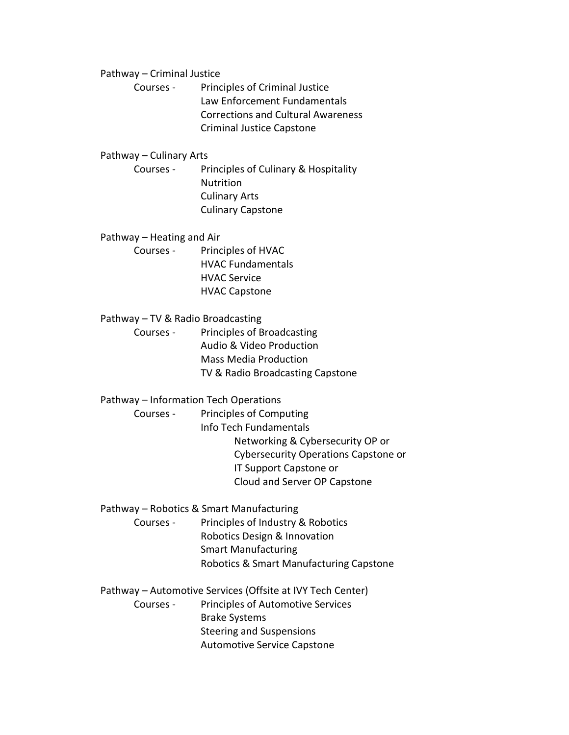Pathway – Criminal Justice

Courses - Principles of Criminal Justice Law Enforcement Fundamentals Corrections and Cultural Awareness Criminal Justice Capstone

## Pathway – Culinary Arts

Courses - Principles of Culinary & Hospitality Nutrition Culinary Arts Culinary Capstone

Pathway – Heating and Air Courses - Principles of HVAC HVAC Fundamentals HVAC Service HVAC Capstone

Pathway – TV & Radio Broadcasting Courses - Principles of Broadcasting Audio & Video Production Mass Media Production TV & Radio Broadcasting Capstone

Pathway – Information Tech Operations

Courses - Principles of Computing

Info Tech Fundamentals Networking & Cybersecurity OP or Cybersecurity Operations Capstone or IT Support Capstone or Cloud and Server OP Capstone

Pathway – Robotics & Smart Manufacturing

Courses - Principles of Industry & Robotics Robotics Design & Innovation Smart Manufacturing Robotics & Smart Manufacturing Capstone

Pathway – Automotive Services (Offsite at IVY Tech Center)

Courses - Principles of Automotive Services Brake Systems Steering and Suspensions Automotive Service Capstone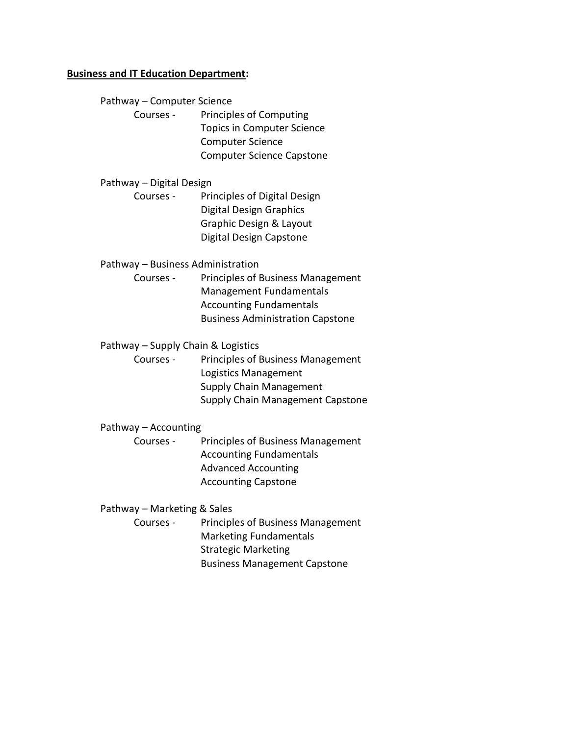### **Business and IT Education Department:**

Pathway – Computer Science

Courses - Principles of Computing Topics in Computer Science Computer Science Computer Science Capstone

## Pathway – Digital Design

Courses - Principles of Digital Design Digital Design Graphics Graphic Design & Layout Digital Design Capstone

Pathway – Business Administration

Courses - Principles of Business Management Management Fundamentals Accounting Fundamentals Business Administration Capstone

Pathway – Supply Chain & Logistics

Courses - Principles of Business Management Logistics Management Supply Chain Management Supply Chain Management Capstone

#### Pathway – Accounting

Courses - Principles of Business Management Accounting Fundamentals Advanced Accounting Accounting Capstone

## Pathway – Marketing & Sales

Courses - Principles of Business Management Marketing Fundamentals Strategic Marketing Business Management Capstone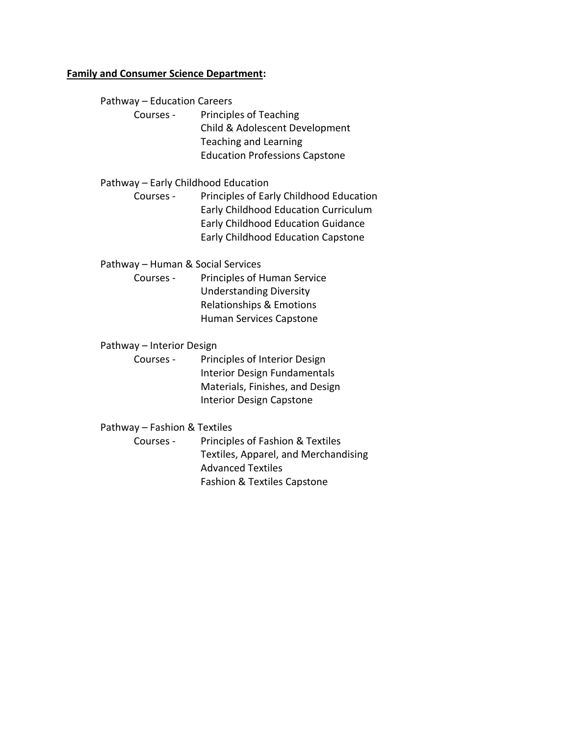## **Family and Consumer Science Department:**

Pathway – Education Careers

Courses - Principles of Teaching Child & Adolescent Development Teaching and Learning Education Professions Capstone

Pathway – Early Childhood Education

Courses - Principles of Early Childhood Education Early Childhood Education Curriculum Early Childhood Education Guidance Early Childhood Education Capstone

Pathway – Human & Social Services

Courses - Principles of Human Service Understanding Diversity Relationships & Emotions Human Services Capstone

Pathway – Interior Design

Courses - Principles of Interior Design Interior Design Fundamentals Materials, Finishes, and Design Interior Design Capstone

Pathway – Fashion & Textiles

Courses - Principles of Fashion & Textiles Textiles, Apparel, and Merchandising Advanced Textiles Fashion & Textiles Capstone